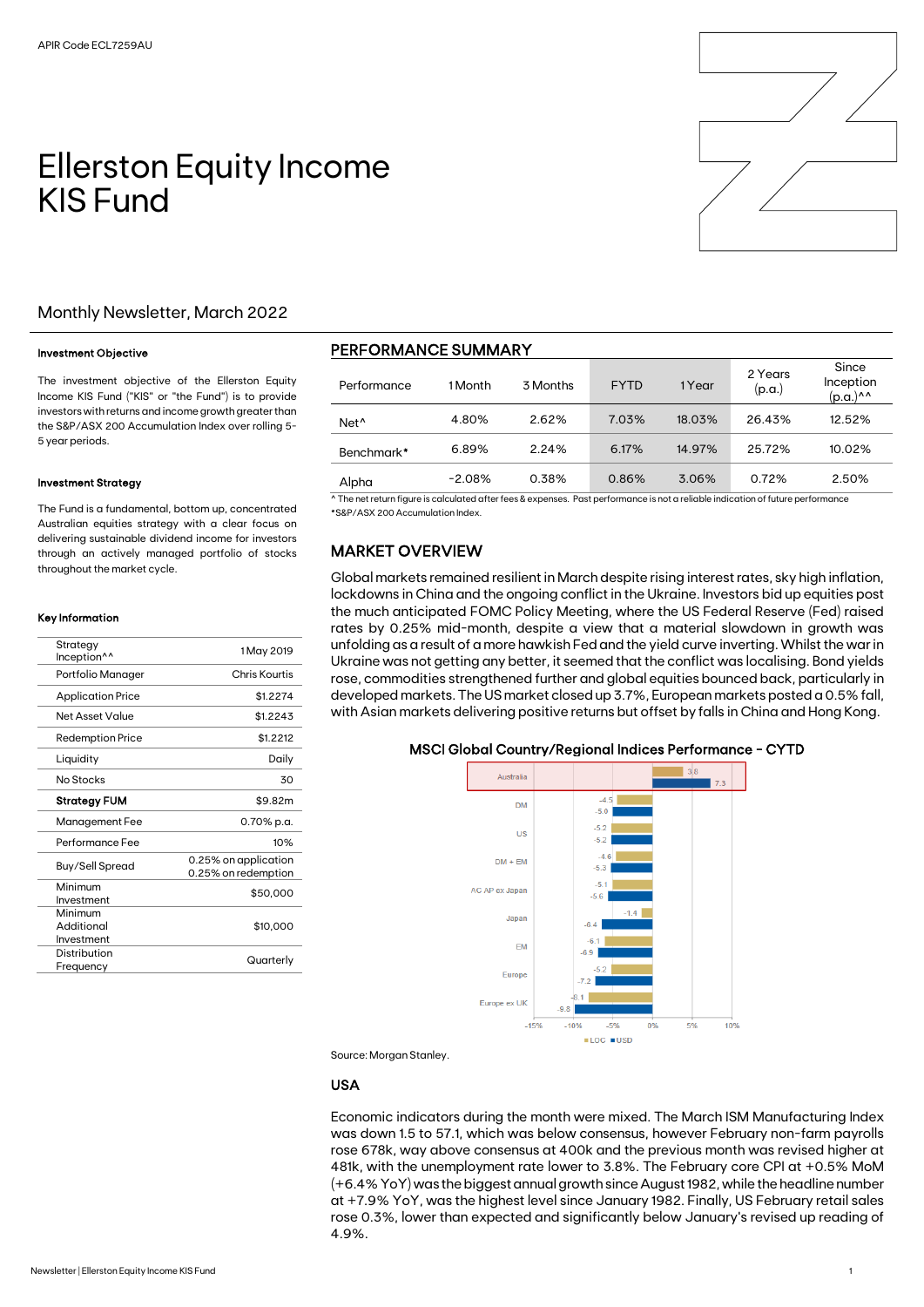# Ellerston Equity Income KIS Fund

## Monthly Newsletter, March 2022

#### Investment Objective

The investment objective of the Ellerston Equity Income KIS Fund ("KIS" or "the Fund") is to provide investors with returns and income growth greater than the S&P/ASX 200 Accumulation Index over rolling 5- 5 year periods.

#### Investment Strategy

The Fund is a fundamental, bottom up, concentrated Australian equities strategy with a clear focus on delivering sustainable dividend income for investors through an actively managed portfolio of stocks throughout the market cycle.

#### Key Information

| Chris Kourtis                               |
|---------------------------------------------|
| \$1.2274                                    |
| \$1.2243                                    |
| \$1.2212                                    |
| Daily                                       |
| 30                                          |
| \$9.82m                                     |
| 0.70% p.a.                                  |
| 10%                                         |
| 0.25% on application<br>0.25% on redemption |
| \$50,000                                    |
| \$10,000                                    |
| Quarterly                                   |
|                                             |

# PERFORMANCE SUMMARY

| Performance      | 1 Month  | 3 Months | <b>FYTD</b> | 1 Year | 2 Years<br>(p.a.) | Since<br>Inception<br>(p.a.)^^ |
|------------------|----------|----------|-------------|--------|-------------------|--------------------------------|
| Net <sup>^</sup> | 4.80%    | 2.62%    | 7.03%       | 18.03% | 26.43%            | 12.52%                         |
| Benchmark*       | 6.89%    | 2.24%    | 6.17%       | 14.97% | 25.72%            | 10.02%                         |
| Alpha            | $-2.08%$ | 0.38%    | 0.86%       | 3.06%  | 0.72%             | 2.50%                          |

^ The net return figure is calculated after fees & expenses. Past performance is not a reliable indication of future performance \*S&P/ASX 200 Accumulation Index.

## MARKET OVERVIEW

Global markets remained resilient in March despite rising interest rates, sky high inflation, lockdowns in China and the ongoing conflict in the Ukraine. Investors bid up equities post the much anticipated FOMC Policy Meeting, where the US Federal Reserve (Fed) raised rates by 0.25% mid-month, despite a view that a material slowdown in growth was unfolding as a result of a more hawkish Fed and the yield curve inverting. Whilst the war in Ukraine was not getting any better, it seemed that the conflict was localising. Bond yields rose, commodities strengthened further and global equities bounced back, particularly in developed markets. The US market closed up 3.7%, European markets posted a 0.5% fall, with Asian markets delivering positive returns but offset by falls in China and Hong Kong.

#### MSCI Global Country/Regional Indices Performance - CYTD



Source: Morgan Stanley.

#### USA

Economic indicators during the month were mixed. The March ISM Manufacturing Index was down 1.5 to 57.1, which was below consensus, however February non-farm payrolls rose 678k, way above consensus at 400k and the previous month was revised higher at 481k, with the unemployment rate lower to 3.8%. The February core CPI at +0.5% MoM (+6.4% YoY) was the biggest annual growth since August 1982, while the headline number at +7.9% YoY, was the highest level since January 1982. Finally, US February retail sales rose 0.3%, lower than expected and significantly below January's revised up reading of 4.9%.

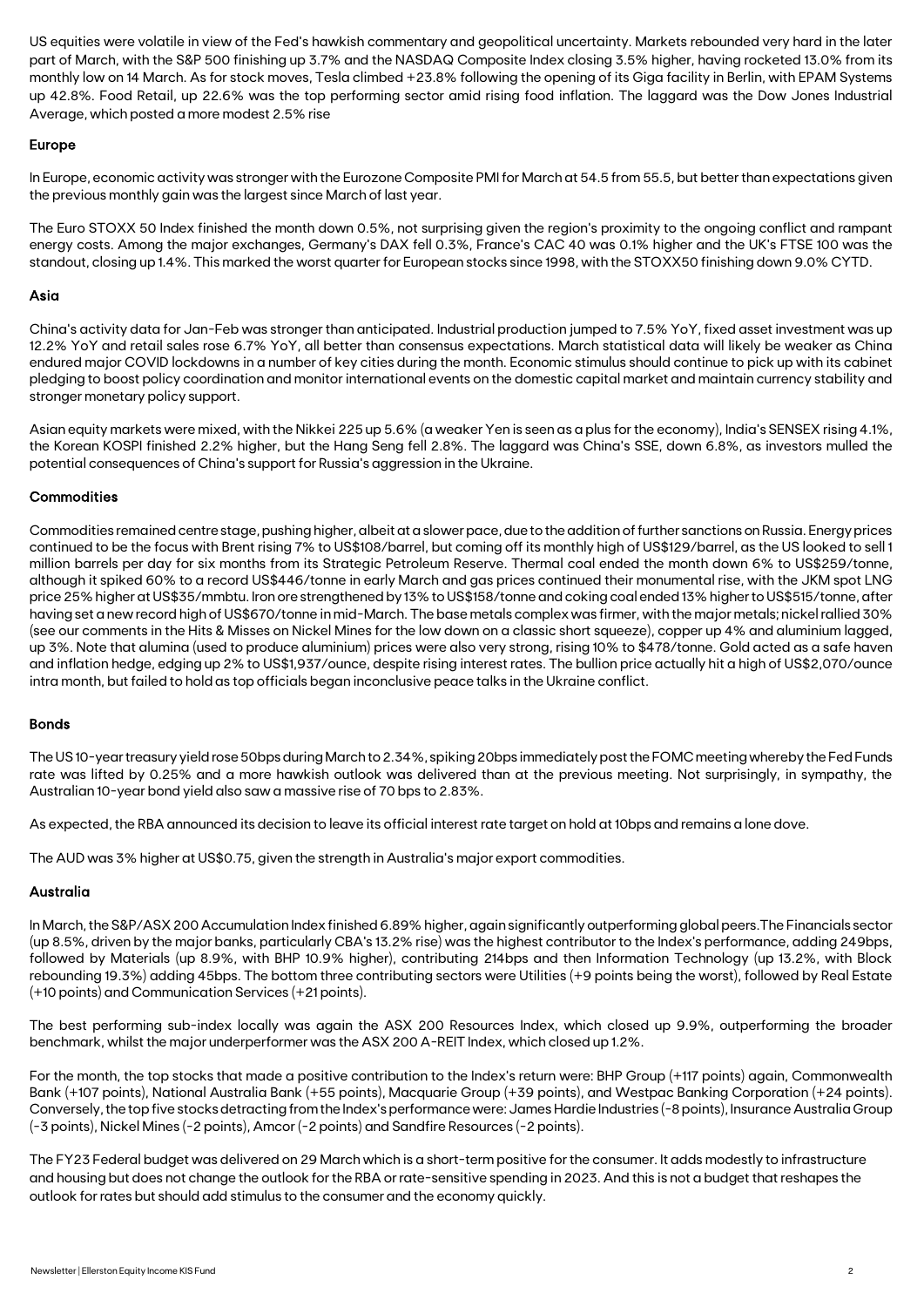US equities were volatile in view of the Fed's hawkish commentary and geopolitical uncertainty. Markets rebounded very hard in the later part of March, with the S&P 500 finishing up 3.7% and the NASDAQ Composite Index closing 3.5% higher, having rocketed 13.0% from its monthly low on 14 March. As for stock moves, Tesla climbed +23.8% following the opening of its Giga facility in Berlin, with EPAM Systems up 42.8%. Food Retail, up 22.6% was the top performing sector amid rising food inflation. The laggard was the Dow Jones Industrial Average, which posted a more modest 2.5% rise

#### Europe

In Europe, economic activity was stronger with the Eurozone Composite PMI for March at 54.5 from 55.5, but better than expectations given the previous monthly gain was the largest since March of last year.

The Euro STOXX 50 Index finished the month down 0.5%, not surprising given the region's proximity to the ongoing conflict and rampant energy costs. Among the major exchanges, Germany's DAX fell 0.3%, France's CAC 40 was 0.1% higher and the UK's FTSE 100 was the standout, closing up 1.4%. This marked the worst quarter for European stocks since 1998, with the STOXX50 finishing down 9.0% CYTD.

#### Asia

China's activity data for Jan-Feb was stronger than anticipated. Industrial production jumped to 7.5% YoY, fixed asset investment was up 12.2% YoY and retail sales rose 6.7% YoY, all better than consensus expectations. March statistical data will likely be weaker as China endured major COVID lockdowns in a number of key cities during the month. Economic stimulus should continue to pick up with its cabinet pledging to boost policy coordination and monitor international events on the domestic capital market and maintain currency stability and stronger monetary policy support.

Asian equity markets were mixed, with the Nikkei 225 up 5.6% (a weaker Yen is seen as a plus for the economy), India's SENSEX rising 4.1%, the Korean KOSPI finished 2.2% higher, but the Hang Seng fell 2.8%. The laggard was China's SSE, down 6.8%, as investors mulled the potential consequences of China's support for Russia's aggression in theUkraine.

#### **Commodities**

Commodities remained centre stage, pushing higher, albeit at a slower pace, due to the addition of further sanctions on Russia. Energy prices continued to be the focus with Brent rising 7% to US\$108/barrel, but coming off its monthly high of US\$129/barrel, as the US looked to sell 1 million barrels per day for six months from its Strategic Petroleum Reserve. Thermal coal ended the month down 6% to US\$259/tonne, although it spiked 60% to a record US\$446/tonne in early March and gas prices continued their monumental rise, with the JKM spot LNG price 25% higher at US\$35/mmbtu. Iron ore strengthened by 13% to US\$158/tonne and coking coal ended 13% higher to US\$515/tonne, after having set a new record high of US\$670/tonne in mid-March. The base metals complex was firmer, with the major metals; nickel rallied 30% (see our comments in the Hits & Misses on Nickel Mines for the low down on a classic short squeeze), copper up 4% and aluminium lagged, up 3%. Note that alumina (used to produce aluminium) prices were also very strong, rising 10% to \$478/tonne. Gold acted as a safe haven and inflation hedge, edging up 2% to US\$1,937/ounce, despite rising interest rates. The bullion price actually hit a high of US\$2,070/ounce intra month, but failed to hold as top officials began inconclusive peace talks in the Ukraine conflict.

#### Bonds

The US 10-year treasury yield rose 50bps during March to 2.34%, spiking 20bps immediately post the FOMC meeting whereby the Fed Funds rate was lifted by 0.25% and a more hawkish outlook was delivered than at the previous meeting. Not surprisingly, in sympathy, the Australian 10-year bond yield also saw a massive rise of 70 bps to 2.83%.

As expected, the RBA announced its decision to leave its official interest rate target on hold at 10bps and remains a lone dove.

The AUD was 3% higher at US\$0.75, given the strength in Australia's major export commodities.

#### Australia

In March, the S&P/ASX 200 Accumulation Index finished 6.89% higher, again significantly outperforming global peers.The Financials sector (up 8.5%, driven by the major banks, particularly CBA's 13.2% rise) was the highest contributor to the Index's performance, adding 249bps, followed by Materials (up 8.9%, with BHP 10.9% higher), contributing 214bps and then Information Technology (up 13.2%, with Block rebounding 19.3%) adding 45bps. The bottom three contributing sectors were Utilities (+9 points being the worst), followed by Real Estate (+10 points) and Communication Services (+21 points).

The best performing sub-index locally was again the ASX 200 Resources Index, which closed up 9.9%, outperforming the broader benchmark, whilst the major underperformer was the ASX 200 A-REIT Index, which closed up 1.2%.

For the month, the top stocks that made a positive contribution to the Index's return were: BHP Group (+117 points) again, Commonwealth Bank (+107 points), National Australia Bank (+55 points), Macquarie Group (+39 points), and Westpac Banking Corporation (+24 points). Conversely, the top five stocks detracting from the Index's performance were: James Hardie Industries (-8 points), Insurance Australia Group (-3 points), Nickel Mines (-2 points), Amcor (-2 points) and Sandfire Resources (-2 points).

The FY23 Federal budget was delivered on 29 March which is a short-term positive for the consumer. It adds modestly to infrastructure and housing but does not change the outlook for the RBA or rate-sensitive spending in 2023. And this is not a budget that reshapes the outlook for rates but should add stimulus to the consumer and the economy quickly.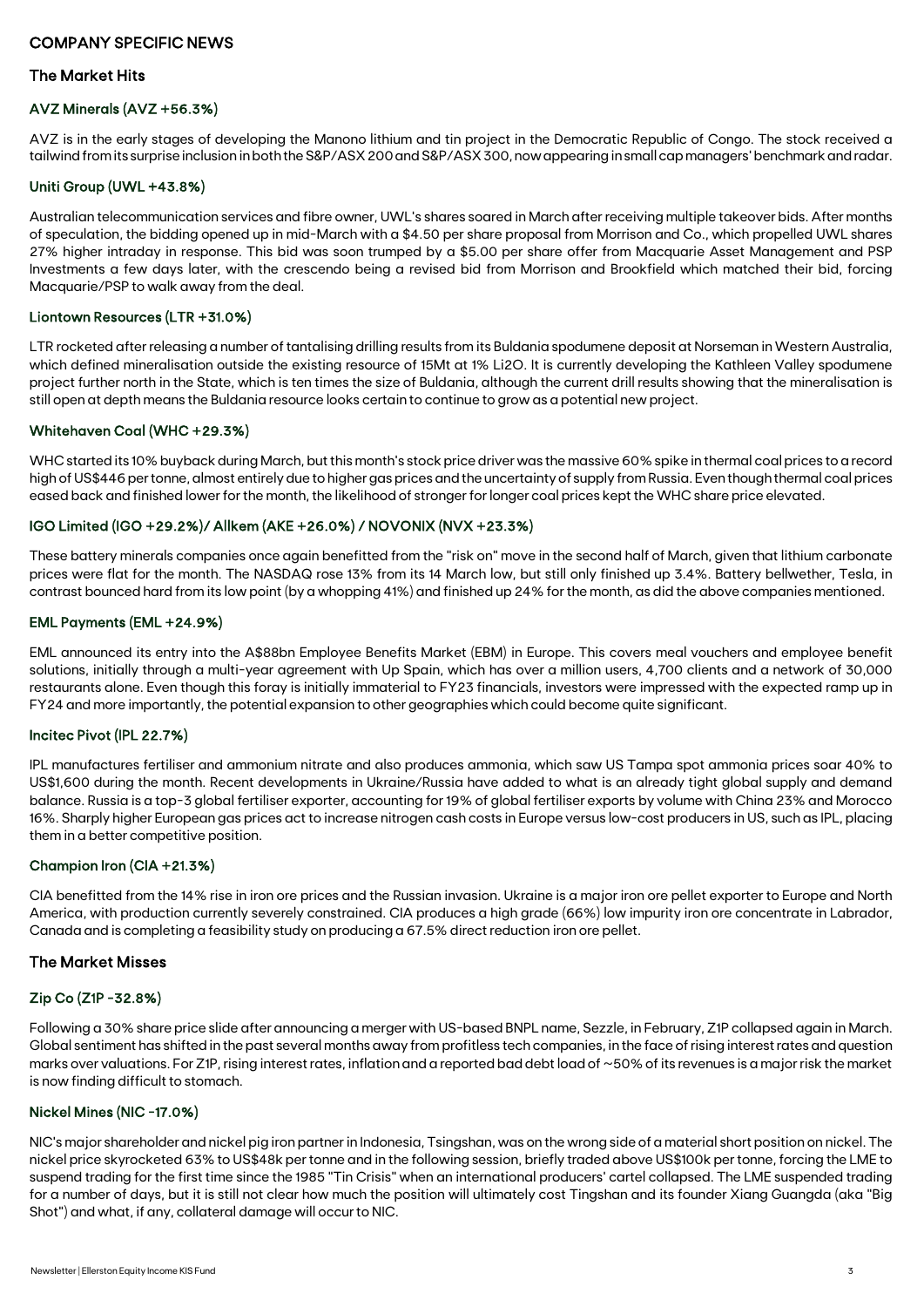# COMPANY SPECIFIC NEWS

### The Market Hits

#### AVZ Minerals (AVZ +56.3%)

AVZ is in the early stages of developing the Manono lithium and tin project in the Democratic Republic of Congo. The stock received a tailwind from its surprise inclusion in both the S&P/ASX 200 and S&P/ASX 300, now appearing in small cap managers' benchmark and radar.

#### Uniti Group (UWL +43.8%)

Australian telecommunication services and fibre owner, UWL's shares soared in March after receiving multiple takeover bids. After months of speculation, the bidding opened up in mid-March with a \$4.50 per share proposal from Morrison and Co., which propelled UWL shares 27% higher intraday in response. This bid was soon trumped by a \$5.00 per share offer from Macquarie Asset Management and PSP Investments a few days later, with the crescendo being a revised bid from Morrison and Brookfield which matched their bid, forcing Macquarie/PSP to walk away from the deal.

#### Liontown Resources (LTR +31.0%)

LTR rocketed after releasing a number of tantalising drilling results from its Buldania spodumene deposit at Norseman in Western Australia, which defined mineralisation outside the existing resource of 15Mt at 1% Li2O. It is currently developing the Kathleen Valley spodumene project further north in the State, which is ten times the size of Buldania, although the current drill results showing that the mineralisation is still open at depth means the Buldania resource looks certain to continue to grow as a potential new project.

#### Whitehaven Coal (WHC +29.3%)

WHC started its 10% buyback during March, but this month's stock price driver was the massive 60% spike in thermal coal prices to a record high of US\$446 per tonne, almost entirely due to higher gas prices and the uncertainty of supply from Russia. Even though thermal coal prices eased back and finished lower for the month, the likelihood of stronger for longer coal prices kept the WHC share price elevated.

#### IGO Limited (IGO +29.2%)/ Allkem (AKE +26.0%) / NOVONIX (NVX +23.3%)

These battery minerals companies once again benefitted from the "risk on" move in the second half of March, given that lithium carbonate prices were flat for the month. The NASDAQ rose 13% from its 14 March low, but still only finished up 3.4%. Battery bellwether, Tesla, in contrast bounced hard from its low point (by a whopping 41%) and finished up 24% for the month, as did the above companies mentioned.

#### EML Payments (EML +24.9%)

EML announced its entry into the A\$88bn Employee Benefits Market (EBM) in Europe. This covers meal vouchers and employee benefit solutions, initially through a multi-year agreement with Up Spain, which has over a million users, 4,700 clients and a network of 30,000 restaurants alone. Even though this foray is initially immaterial to FY23 financials, investors were impressed with the expected ramp up in FY24 and more importantly, the potential expansion to other geographies which could become quite significant.

#### Incitec Pivot (IPL 22.7%)

IPL manufactures fertiliser and ammonium nitrate and also produces ammonia, which saw US Tampa spot ammonia prices soar 40% to US\$1,600 during the month. Recent developments in Ukraine/Russia have added to what is an already tight global supply and demand balance. Russia is a top-3 global fertiliser exporter, accounting for 19% of global fertiliser exports by volume with China 23% and Morocco 16%. Sharply higher European gas prices act to increase nitrogen cash costs in Europe versus low-cost producers in US, such as IPL, placing them in a better competitive position.

#### Champion Iron (CIA +21.3%)

CIA benefitted from the 14% rise in iron ore prices and the Russian invasion. Ukraine is a major iron ore pellet exporter to Europe and North America, with production currently severely constrained. CIA produces a high grade (66%) low impurity iron ore concentrate in Labrador, Canada and is completing a feasibility study on producing a 67.5% direct reduction iron ore pellet.

#### The Market Misses

#### Zip Co (Z1P -32.8%)

Following a 30% share price slide after announcing a merger with US-based BNPL name, Sezzle, in February, Z1P collapsed again in March. Global sentiment has shifted in the past several months away from profitless tech companies, in the face of rising interest rates and question marks over valuations. For Z1P, rising interest rates, inflation and a reported bad debt load of ~50% of its revenues is a major risk the market is now finding difficult to stomach.

### Nickel Mines (NIC -17.0%)

NIC's major shareholder and nickel pig iron partner in Indonesia, Tsingshan, was on the wrong side of a material short position on nickel. The nickel price skyrocketed 63% to US\$48k per tonne and in the following session, briefly traded above US\$100k per tonne, forcing the LME to suspend trading for the first time since the 1985 "Tin Crisis" when an international producers' cartel collapsed. The LME suspended trading for a number of days, but it is still not clear how much the position will ultimately cost Tingshan and its founder Xiang Guangda (aka "Big Shot") and what, if any, collateral damage will occur to NIC.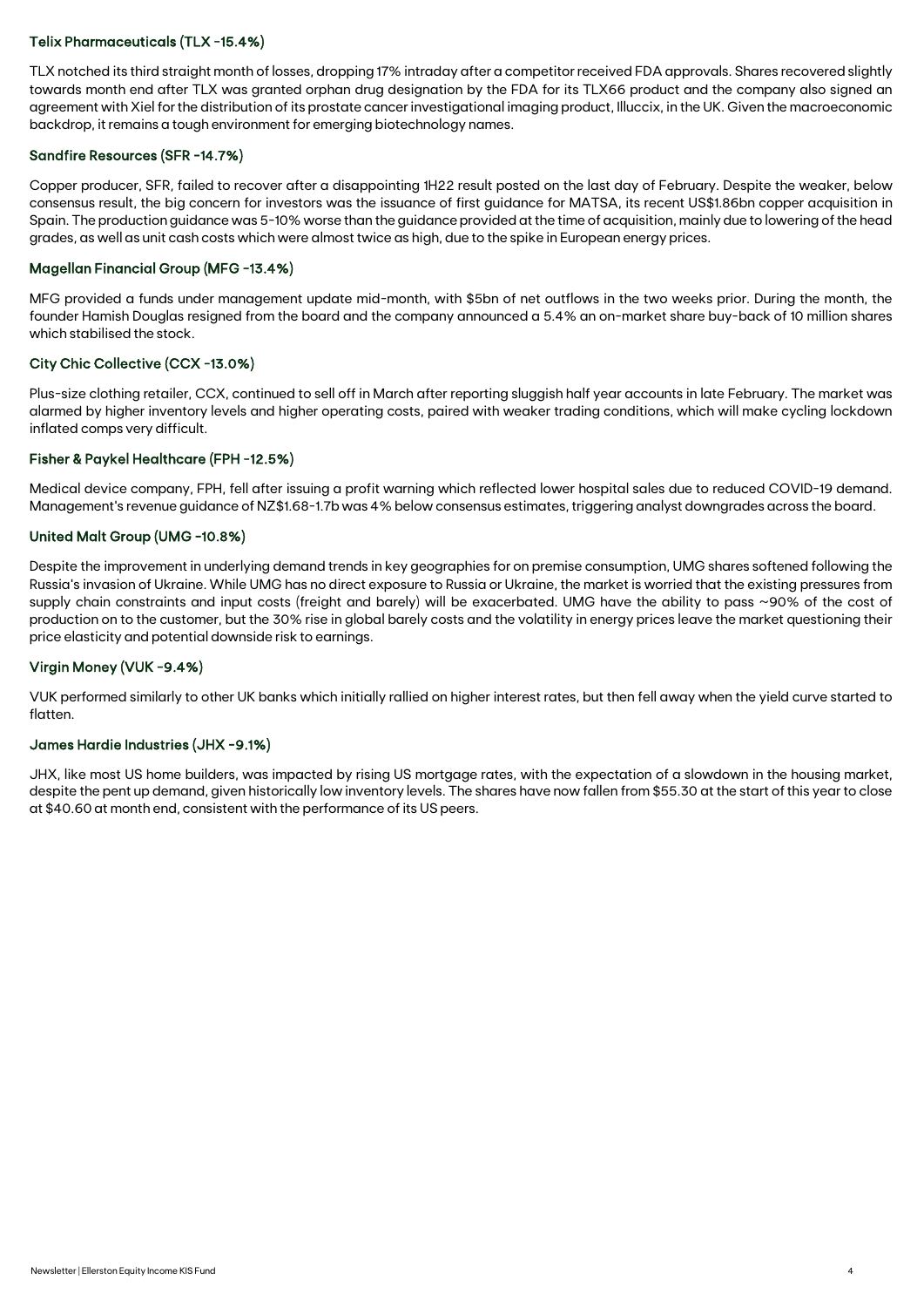#### Telix Pharmaceuticals (TLX -15.4%)

TLX notched its third straight month of losses, dropping 17% intraday after a competitor received FDA approvals. Shares recovered slightly towards month end after TLX was granted orphan drug designation by the FDA for its TLX66 product and the company also signed an agreement with Xiel for the distribution of its prostate cancer investigational imaging product, Illuccix, in the UK. Given the macroeconomic backdrop, it remains a tough environment for emerging biotechnology names.

#### Sandfire Resources (SFR -14.7%)

Copper producer, SFR, failed to recover after a disappointing 1H22 result posted on the last day of February. Despite the weaker, below consensus result, the big concern for investors was the issuance of first guidance for MATSA, its recent US\$1.86bn copper acquisition in Spain. The production guidance was 5-10% worse than the guidance provided at the time of acquisition, mainly due to lowering of the head grades, as well as unit cash costs which were almost twice as high, due to the spike in European energy prices.

#### Magellan Financial Group (MFG -13.4%)

MFG provided a funds under management update mid-month, with \$5bn of net outflows in the two weeks prior. During the month, the founder Hamish Douglas resigned from the board and the company announced a 5.4% an on-market share buy-back of 10 million shares which stabilised the stock.

#### City Chic Collective (CCX -13.0%)

Plus-size clothing retailer, CCX, continued to sell off in March after reporting sluggish half year accounts in late February. The market was alarmed by higher inventory levels and higher operating costs, paired with weaker trading conditions, which will make cycling lockdown inflated comps very difficult.

#### Fisher & Paykel Healthcare (FPH -12.5%)

Medical device company, FPH, fell after issuing a profit warning which reflected lower hospital sales due to reduced COVID-19 demand. Management's revenue guidance of NZ\$1.68-1.7b was 4% below consensus estimates, triggering analyst downgrades across the board.

#### United Malt Group (UMG -10.8%)

Despite the improvement in underlying demand trends in key geographies for on premise consumption, UMG shares softened following the Russia's invasion of Ukraine. While UMG has no direct exposure to Russia or Ukraine, the market is worried that the existing pressures from supply chain constraints and input costs (freight and barely) will be exacerbated. UMG have the ability to pass ~90% of the cost of production on to the customer, but the 30% rise in global barely costs and the volatility in energy prices leave the market questioning their price elasticity and potential downside risk to earnings.

#### Virgin Money (VUK -9.4%)

VUK performed similarly to other UK banks which initially rallied on higher interest rates, but then fell away when the yield curve started to flatten.

#### James Hardie Industries (JHX -9.1%)

JHX, like most US home builders, was impacted by rising US mortgage rates, with the expectation of a slowdown in the housing market, despite the pent up demand, given historically low inventory levels. The shares have now fallen from \$55.30 at the start of this year to close at \$40.60 at month end, consistent with the performance of its US peers.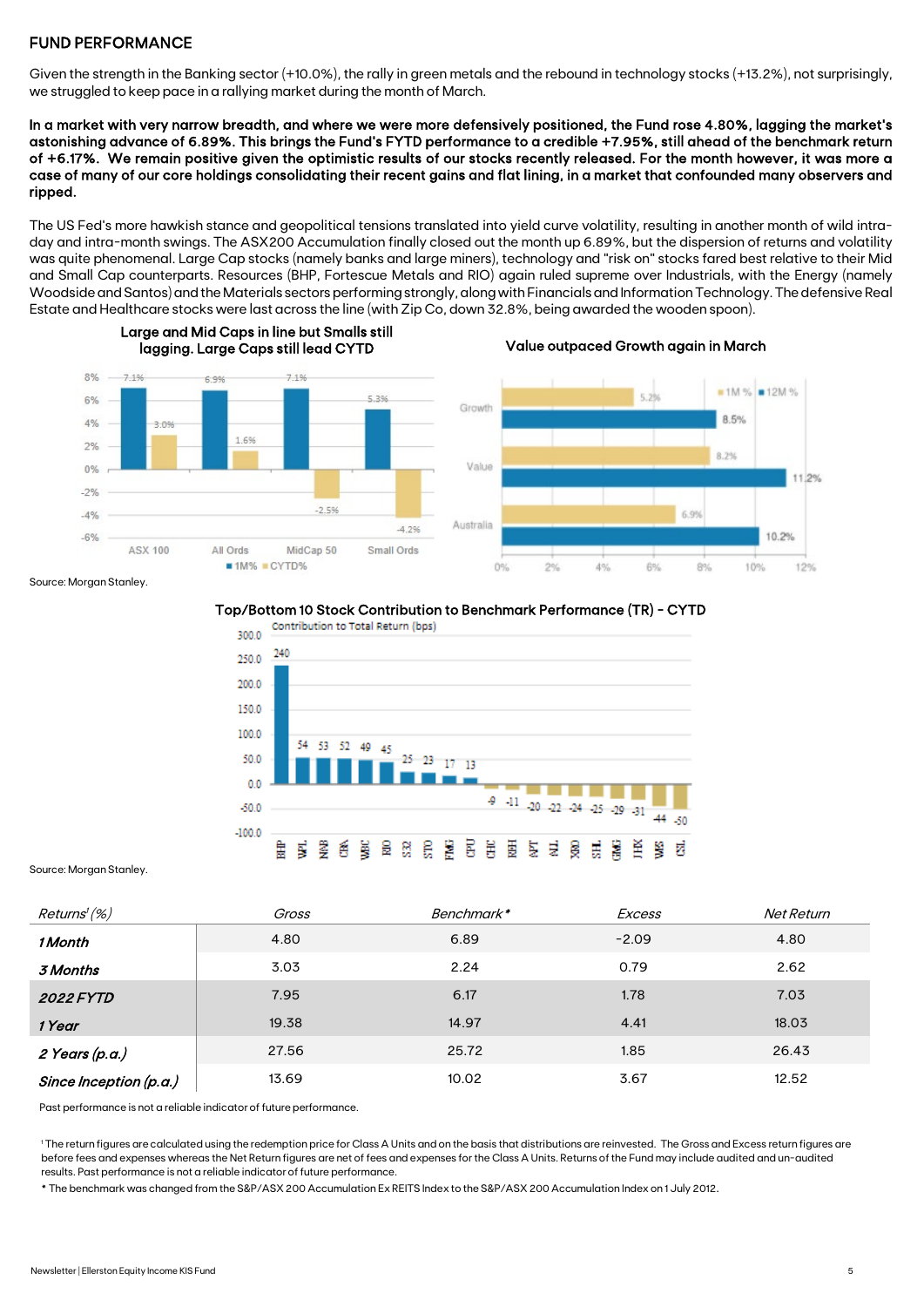# FUND PERFORMANCE

Given the strength in the Banking sector (+10.0%), the rally in green metals and the rebound in technology stocks (+13.2%), not surprisingly, we struggled to keep pace in a rallying market during the month of March.

In a market with very narrow breadth, and where we were more defensively positioned, the Fund rose 4.80%, lagging the market's astonishing advance of 6.89%. This brings the Fund's FYTD performance to a credible +7.95%, still ahead of the benchmark return of +6.17%. We remain positive given the optimistic results of our stocks recently released. For the month however, it was more a case of many of our core holdings consolidating their recent gains and flat lining, in a market that confounded many observers and ripped.

The US Fed's more hawkish stance and geopolitical tensions translated into yield curve volatility, resulting in another month of wild intraday and intra-month swings. The ASX200 Accumulation finally closed out the month up 6.89%, but the dispersion of returns and volatility was quite phenomenal. Large Cap stocks (namely banks and large miners), technology and "risk on" stocks fared best relative to their Mid and Small Cap counterparts. Resources (BHP, Fortescue Metals and RIO) again ruled supreme over Industrials, with the Energy (namely Woodside and Santos) and the Materials sectors performing strongly, along with Financials and Information Technology. The defensive Real Estate and Healthcare stocks were last across the line (with Zip Co, down 32.8%, being awarded the wooden spoon).



Large and Mid Caps in line but Smalls still lagging. Large Caps still lead CYTD Value outpaced Growth again in March



#### Source: Morgan Stanley.

Top/Bottom 10 Stock Contribution to Benchmark Performance (TR) - CYTD



Source: Morgan Stanley.

| Returns' (%)           | Gross | Benchmark* | Excess  | Net Return |
|------------------------|-------|------------|---------|------------|
| 1 Month                | 4.80  | 6.89       | $-2.09$ | 4.80       |
| 3 Months               | 3.03  | 2.24       | 0.79    | 2.62       |
| <b>2022 FYTD</b>       | 7.95  | 6.17       | 1.78    | 7.03       |
| 1 Year                 | 19.38 | 14.97      | 4.41    | 18.03      |
| 2 Years (p.a.)         | 27.56 | 25.72      | 1.85    | 26.43      |
| Since Inception (p.a.) | 13.69 | 10.02      | 3.67    | 12.52      |

Past performance is not a reliable indicator of future performance.

1 The return figures are calculated using the redemption price for Class A Units and on the basis that distributions are reinvested. The Gross and Excess return figures are before fees and expenses whereas the Net Return figures are net of fees and expenses for the Class A Units. Returns of the Fund may include audited and un-audited results. Past performance is not a reliable indicator of future performance.

\* The benchmark was changed from the S&P/ASX 200 Accumulation Ex REITS Index to the S&P/ASX 200 Accumulation Index on 1 July 2012.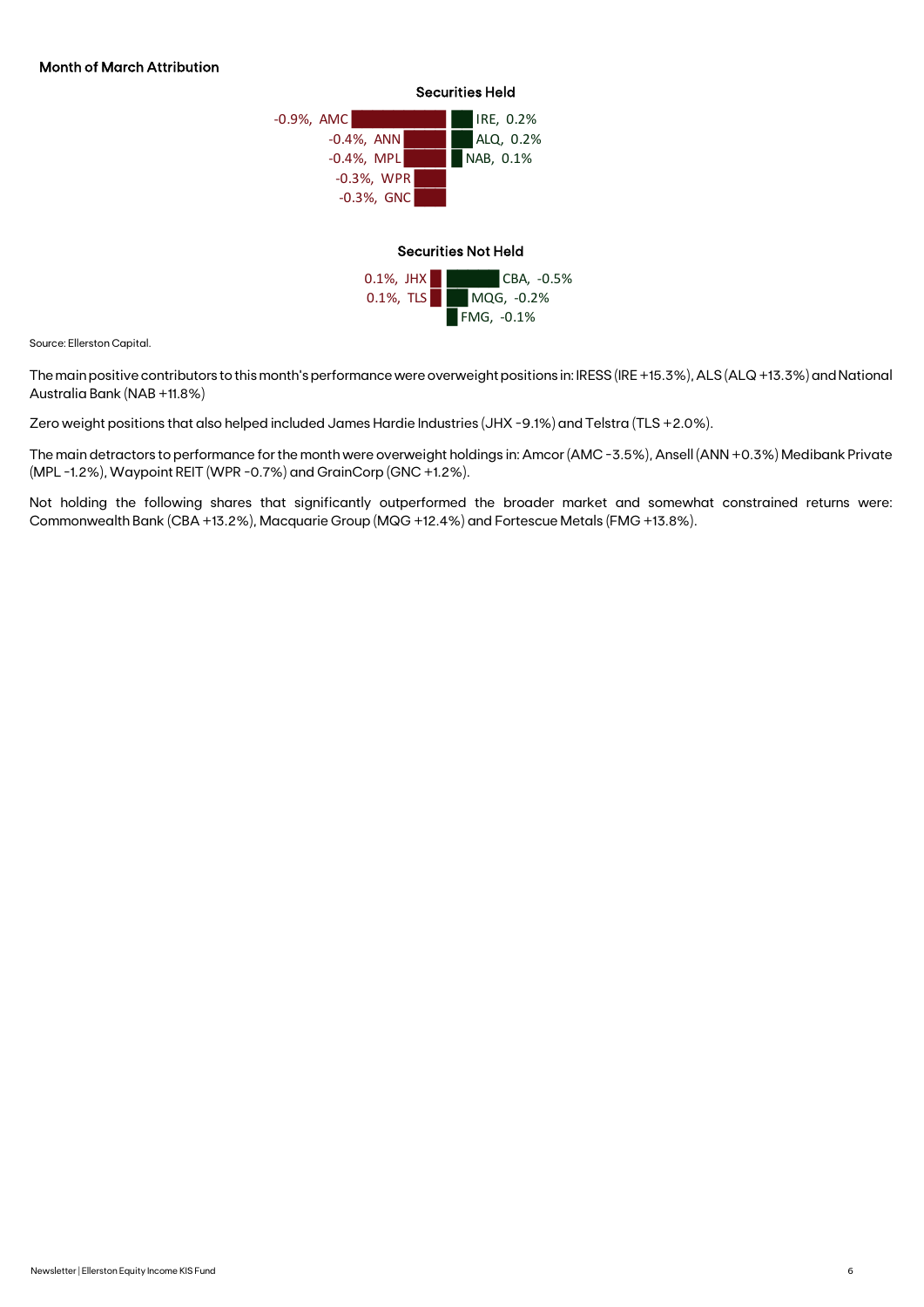

Source: Ellerston Capital.

The main positive contributors to this month's performance were overweight positions in: IRESS (IRE +15.3%), ALS (ALQ +13.3%) and National Australia Bank (NAB +11.8%)

Zero weight positions that also helped included James Hardie Industries (JHX -9.1%) and Telstra (TLS +2.0%).

The main detractors to performance for the month were overweight holdings in: Amcor (AMC -3.5%), Ansell (ANN +0.3%) Medibank Private (MPL -1.2%), Waypoint REIT (WPR -0.7%) and GrainCorp (GNC +1.2%).

Not holding the following shares that significantly outperformed the broader market and somewhat constrained returns were: Commonwealth Bank (CBA +13.2%), Macquarie Group (MQG +12.4%) and Fortescue Metals (FMG +13.8%).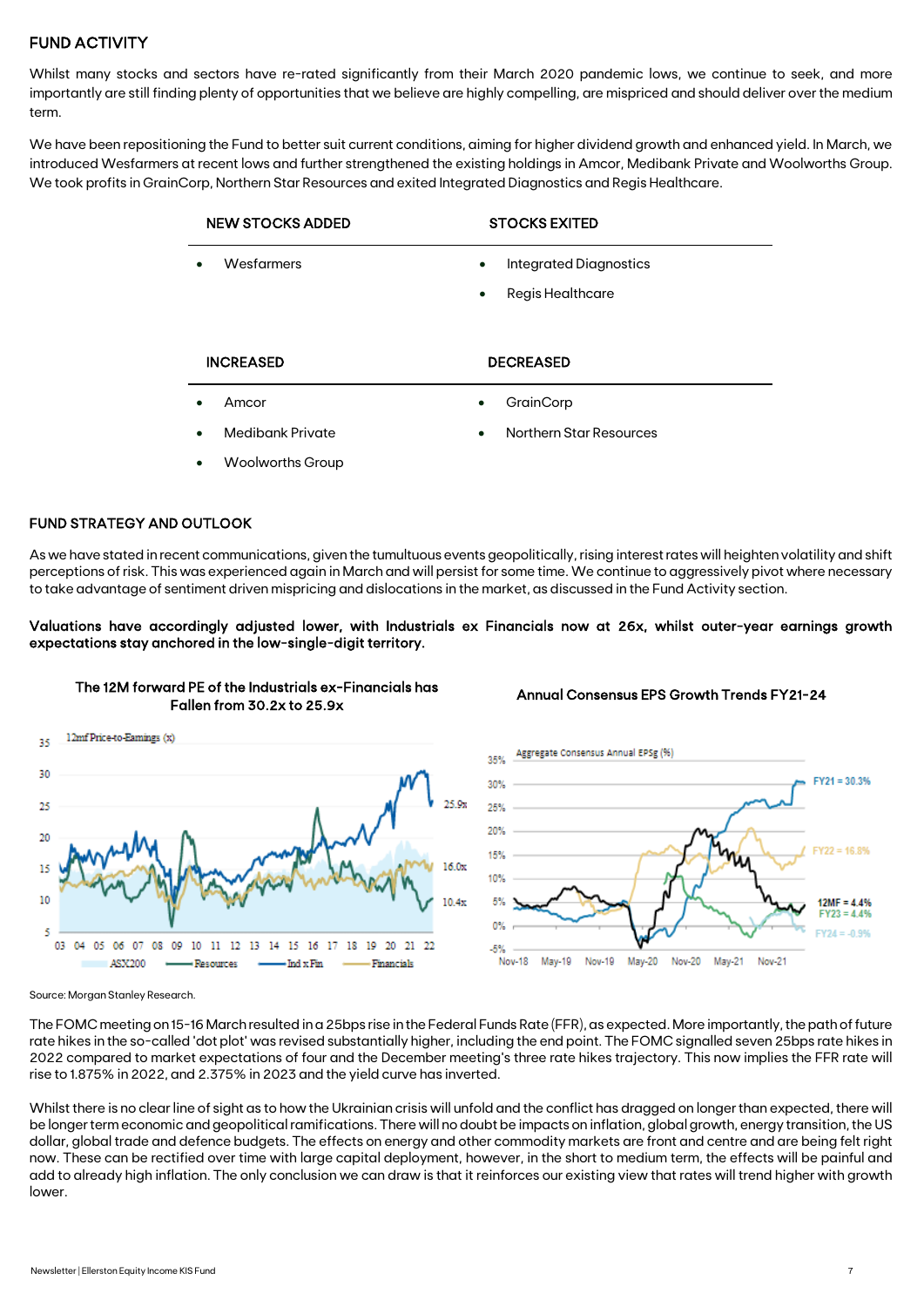# FUND ACTIVITY

Whilst many stocks and sectors have re-rated significantly from their March 2020 pandemic lows, we continue to seek, and more importantly are still finding plenty of opportunities that we believe are highly compelling, are mispriced and should deliver over the medium term.

We have been repositioning the Fund to better suit current conditions, aiming for higher dividend growth and enhanced yield. In March, we introduced Wesfarmers at recent lows and further strengthened the existing holdings in Amcor, Medibank Private and Woolworths Group. We took profits in GrainCorp, Northern Star Resources and exited Integrated Diagnostics and Regis Healthcare.

| <b>NEW STOCKS ADDED</b> | <b>STOCKS EXITED</b>                                         |
|-------------------------|--------------------------------------------------------------|
| Wesfarmers              | Integrated Diagnostics<br>$\bullet$<br>Regis Healthcare<br>٠ |
| <b>INCREASED</b>        | <b>DECREASED</b>                                             |
| Amcor                   | GrainCorp<br>$\bullet$                                       |
| Medibank Private        | <b>Northern Star Resources</b><br>$\bullet$                  |
|                         |                                                              |

#### FUND STRATEGY AND OUTLOOK

As we have stated in recent communications, given the tumultuous events geopolitically, rising interest rates will heighten volatility and shift perceptions of risk. This was experienced again in March and will persist for some time. We continue to aggressively pivot where necessary to take advantage of sentiment driven mispricing and dislocations in the market, as discussed in the Fund Activity section.

#### Valuations have accordingly adjusted lower, with Industrials ex Financials now at 26x, whilst outer-year earnings growth expectations stay anchored in the low-single-digit territory.



## The 12M forward PE of the Industrials ex-Financials has Fallen from 30.2x to 25.9x

#### Annual Consensus EPS Growth Trends FY21-24



Source: Morgan Stanley Research.

The FOMC meeting on 15-16 March resulted in a 25bps rise in the Federal Funds Rate (FFR), as expected. More importantly, the path of future rate hikes in the so-called 'dot plot' was revised substantially higher, including the end point. The FOMC signalled seven 25bps rate hikes in 2022 compared to market expectations of four and the December meeting's three rate hikes trajectory. This now implies the FFR rate will rise to 1.875% in 2022, and 2.375% in 2023 and the yield curve has inverted.

Whilst there is no clear line of sight as to how the Ukrainian crisis will unfold and the conflict has dragged on longer than expected, there will be longer term economic and geopolitical ramifications. There will no doubt be impacts on inflation, global growth, energy transition, the US dollar, global trade and defence budgets. The effects on energy and other commodity markets are front and centre and are being felt right now. These can be rectified over time with large capital deployment, however, in the short to medium term, the effects will be painful and add to already high inflation. The only conclusion we can draw is that it reinforces our existing view that rates will trend higher with growth lower.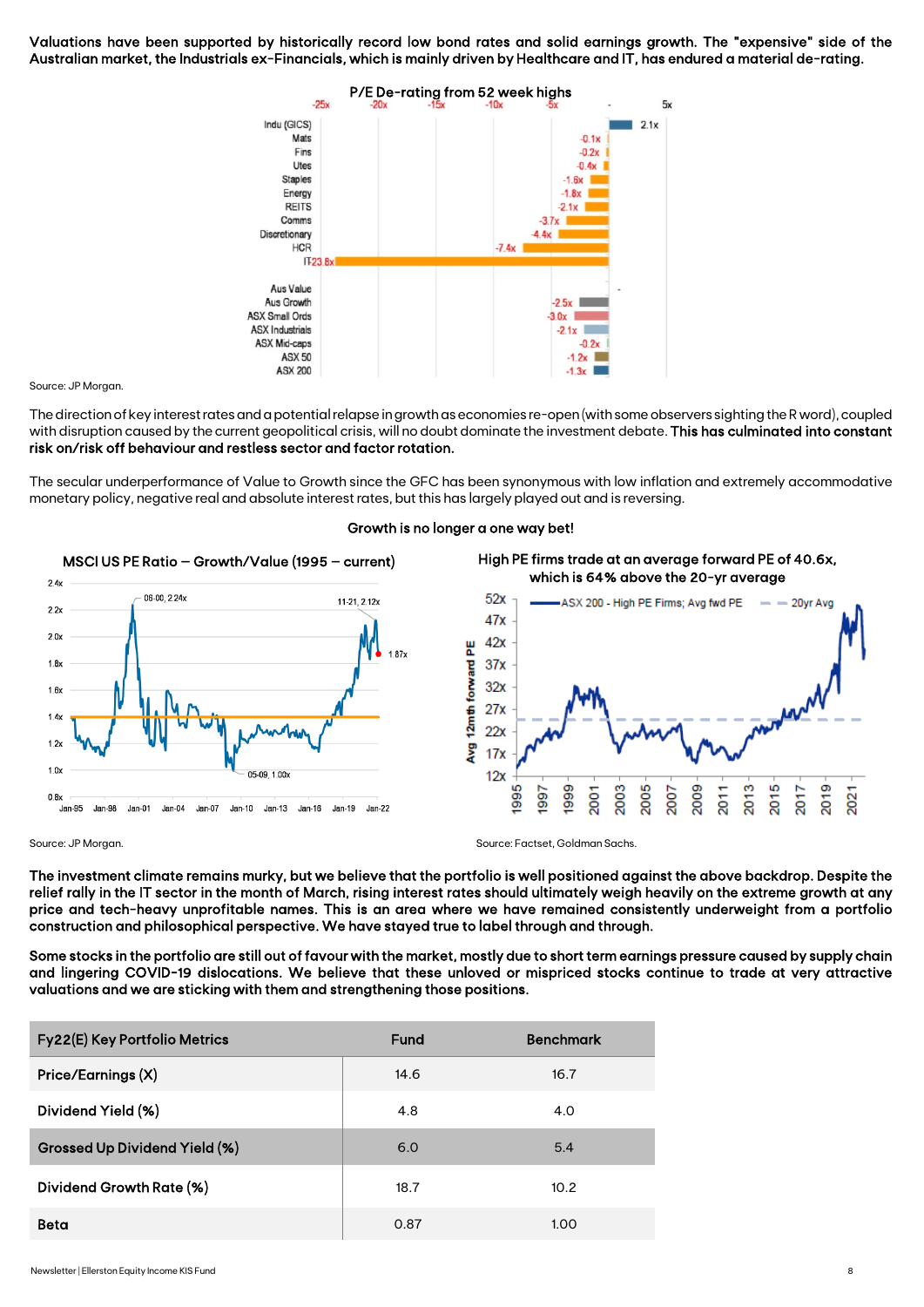Valuations have been supported by historically record low bond rates and solid earnings growth. The "expensive" side of the Australian market, the Industrials ex-Financials, which is mainly driven by Healthcare and IT, has endured a material de-rating.



Source: JP Morgan

The direction of key interest rates and a potential relapse in growth as economies re-open (with some observers sighting the R word), coupled with disruption caused by the current geopolitical crisis, will no doubt dominate the investment debate. This has culminated into constant risk on/risk off behaviour and restless sector and factor rotation.

The secular underperformance of Value to Growth since the GFC has been synonymous with low inflation and extremely accommodative monetary policy, negative real and absolute interest rates, but this has largely played out and is reversing.



#### Growth is no longer a one way bet!



Source: JP Morgan. Source: Factset, Goldman Sachs.

The investment climate remains murky, but we believe that the portfolio is well positioned against the above backdrop. Despite the relief rally in the IT sector in the month of March, rising interest rates should ultimately weigh heavily on the extreme growth at any price and tech-heavy unprofitable names. This is an area where we have remained consistently underweight from a portfolio construction and philosophical perspective. We have stayed true to label through and through.

Some stocks in the portfolio are still out of favour with the market, mostly due to short term earnings pressure caused by supply chain and lingering COVID-19 dislocations. We believe that these unloved or mispriced stocks continue to trade at very attractive valuations and we are sticking with them and strengthening those positions.

| Fy22(E) Key Portfolio Metrics | Fund | <b>Benchmark</b> |
|-------------------------------|------|------------------|
| Price/Earnings (X)            | 14.6 | 16.7             |
| Dividend Yield (%)            | 4.8  | 4.0              |
| Grossed Up Dividend Yield (%) | 6.0  | 5.4              |
| Dividend Growth Rate (%)      | 18.7 | 10.2             |
| Beta                          | 0.87 | 1.00             |